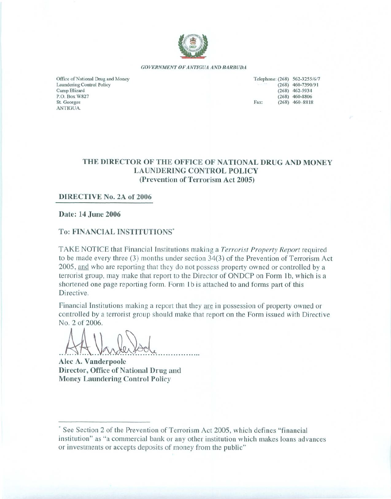

**GOVERNMENT OF ANTIGUA AND BARBUDA** 

Office of National Drug and Money Laundering Control Policy Camp Blizard P.O. Box W827 St. Georges **ANTIGUA** 

| Telephone: (268) 562-3255/6/7 |                     |
|-------------------------------|---------------------|
|                               | $(268)$ 460-7390/91 |
|                               | $(268)$ 462-5934    |
|                               | $(268)$ 460-8806    |
| Fax:                          | $(268)$ 460-8818    |
|                               |                     |

### THE DIRECTOR OF THE OFFICE OF NATIONAL DRUG AND MONEY **LAUNDERING CONTROL POLICY** (Prevention of Terrorism Act 2005)

### DIRECTIVE No. 2A of 2006

Date: 14 June 2006

### To: FINANCIAL INSTITUTIONS'

TAKE NOTICE that Financial Institutions making a Terrorist Property Report required to be made every three  $(3)$  months under section  $34(3)$  of the Prevention of Terrorism Act 2005, and who are reporting that they do not possess property owned or controlled by a terrorist group, may make that report to the Director of ONDCP on Form 1b, which is a shortened one page reporting form. Form 1b is attached to and forms part of this Directive.

Financial Institutions making a report that they are in possession of property owned or controlled by a terrorist group should make that report on the Form issued with Directive No. 2 of 2006.

Alec A. Vanderpoole Director, Office of National Drug and **Money Laundering Control Policy** 

See Section 2 of the Prevention of Terrorism Act 2005, which defines "financial" institution" as "a commercial bank or any other institution which makes loans advances or investments or accepts deposits of money from the public"